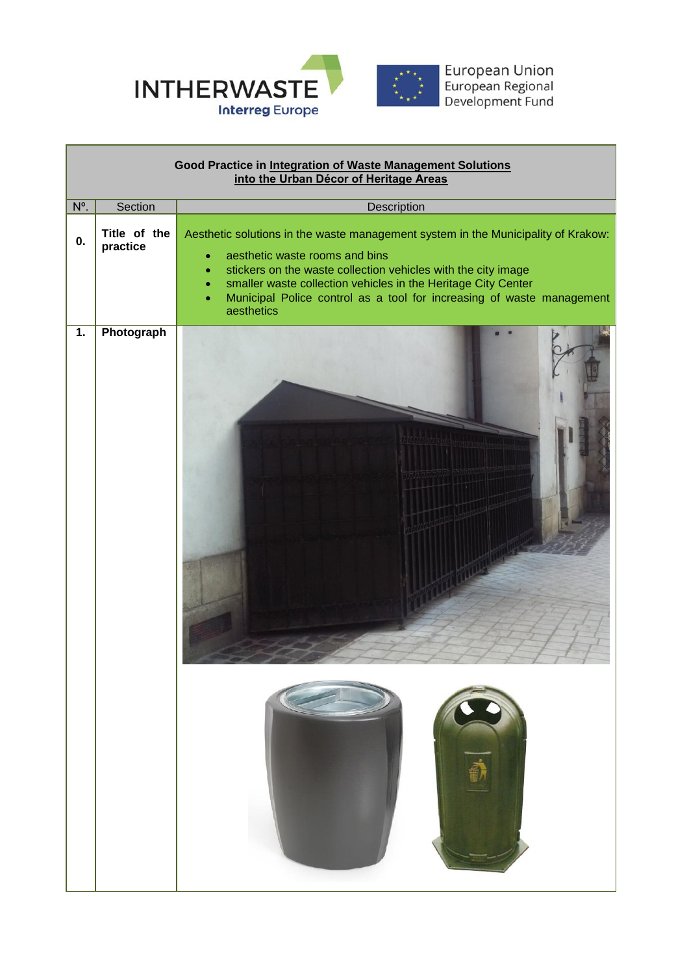

 $\overline{\phantom{0}}$ 

| Good Practice in Integration of Waste Management Solutions<br>into the Urban Décor of Heritage Areas |                          |                                                                                                                                                                                                                                                                                                                                                                                                  |  |
|------------------------------------------------------------------------------------------------------|--------------------------|--------------------------------------------------------------------------------------------------------------------------------------------------------------------------------------------------------------------------------------------------------------------------------------------------------------------------------------------------------------------------------------------------|--|
| $N^{\circ}$ .                                                                                        | Section                  | Description                                                                                                                                                                                                                                                                                                                                                                                      |  |
| 0.                                                                                                   | Title of the<br>practice | Aesthetic solutions in the waste management system in the Municipality of Krakow:<br>aesthetic waste rooms and bins<br>$\bullet$<br>stickers on the waste collection vehicles with the city image<br>$\bullet$<br>smaller waste collection vehicles in the Heritage City Center<br>$\bullet$<br>Municipal Police control as a tool for increasing of waste management<br>$\bullet$<br>aesthetics |  |
| 1.                                                                                                   | Photograph               |                                                                                                                                                                                                                                                                                                                                                                                                  |  |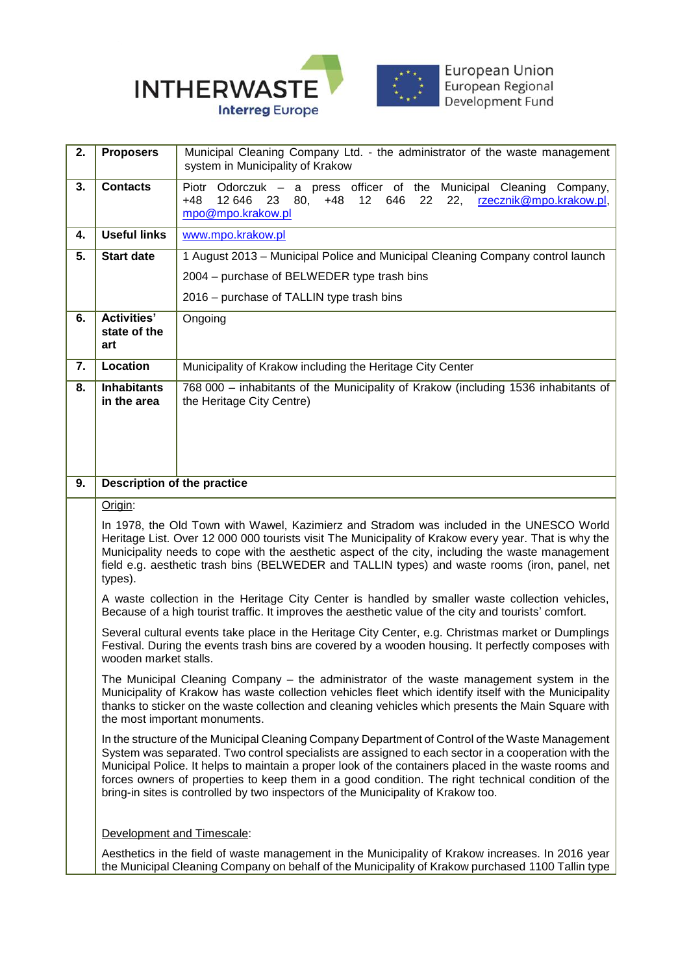

| Municipal Cleaning Company,<br>rzecznik@mpo.krakow.pl,                                                                                                                                                                                                                                                                                                                                                                                                                                                     |  |  |
|------------------------------------------------------------------------------------------------------------------------------------------------------------------------------------------------------------------------------------------------------------------------------------------------------------------------------------------------------------------------------------------------------------------------------------------------------------------------------------------------------------|--|--|
|                                                                                                                                                                                                                                                                                                                                                                                                                                                                                                            |  |  |
|                                                                                                                                                                                                                                                                                                                                                                                                                                                                                                            |  |  |
| 1 August 2013 – Municipal Police and Municipal Cleaning Company control launch                                                                                                                                                                                                                                                                                                                                                                                                                             |  |  |
|                                                                                                                                                                                                                                                                                                                                                                                                                                                                                                            |  |  |
|                                                                                                                                                                                                                                                                                                                                                                                                                                                                                                            |  |  |
|                                                                                                                                                                                                                                                                                                                                                                                                                                                                                                            |  |  |
|                                                                                                                                                                                                                                                                                                                                                                                                                                                                                                            |  |  |
| 768 000 - inhabitants of the Municipality of Krakow (including 1536 inhabitants of                                                                                                                                                                                                                                                                                                                                                                                                                         |  |  |
| <b>Description of the practice</b>                                                                                                                                                                                                                                                                                                                                                                                                                                                                         |  |  |
| Origin:                                                                                                                                                                                                                                                                                                                                                                                                                                                                                                    |  |  |
| In 1978, the Old Town with Wawel, Kazimierz and Stradom was included in the UNESCO World<br>Heritage List. Over 12 000 000 tourists visit The Municipality of Krakow every year. That is why the<br>Municipality needs to cope with the aesthetic aspect of the city, including the waste management<br>field e.g. aesthetic trash bins (BELWEDER and TALLIN types) and waste rooms (iron, panel, net<br>types).                                                                                           |  |  |
| A waste collection in the Heritage City Center is handled by smaller waste collection vehicles,<br>Because of a high tourist traffic. It improves the aesthetic value of the city and tourists' comfort.                                                                                                                                                                                                                                                                                                   |  |  |
| Several cultural events take place in the Heritage City Center, e.g. Christmas market or Dumplings<br>Festival. During the events trash bins are covered by a wooden housing. It perfectly composes with<br>wooden market stalls.                                                                                                                                                                                                                                                                          |  |  |
| The Municipal Cleaning Company – the administrator of the waste management system in the<br>Municipality of Krakow has waste collection vehicles fleet which identify itself with the Municipality<br>thanks to sticker on the waste collection and cleaning vehicles which presents the Main Square with<br>the most important monuments.                                                                                                                                                                 |  |  |
| In the structure of the Municipal Cleaning Company Department of Control of the Waste Management<br>System was separated. Two control specialists are assigned to each sector in a cooperation with the<br>Municipal Police. It helps to maintain a proper look of the containers placed in the waste rooms and<br>forces owners of properties to keep them in a good condition. The right technical condition of the<br>bring-in sites is controlled by two inspectors of the Municipality of Krakow too. |  |  |
|                                                                                                                                                                                                                                                                                                                                                                                                                                                                                                            |  |  |
| Aesthetics in the field of waste management in the Municipality of Krakow increases. In 2016 year<br>the Municipal Cleaning Company on behalf of the Municipality of Krakow purchased 1100 Tallin type                                                                                                                                                                                                                                                                                                     |  |  |
|                                                                                                                                                                                                                                                                                                                                                                                                                                                                                                            |  |  |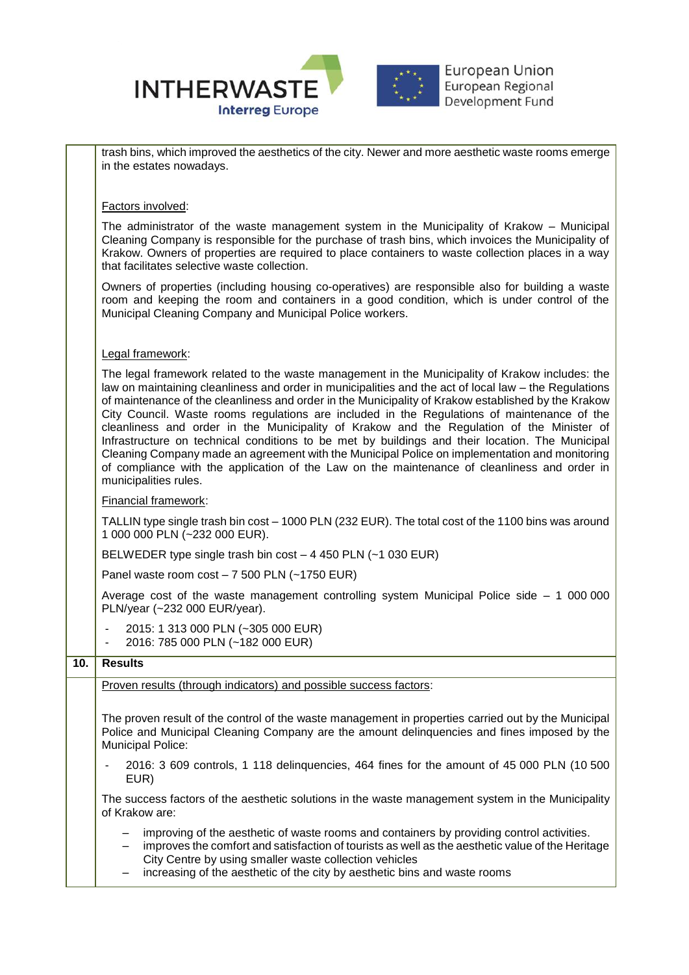

trash bins, which improved the aesthetics of the city. Newer and more aesthetic waste rooms emerge in the estates nowadays.

## Factors involved:

The administrator of the waste management system in the Municipality of Krakow – Municipal Cleaning Company is responsible for the purchase of trash bins, which invoices the Municipality of Krakow. Owners of properties are required to place containers to waste collection places in a way that facilitates selective waste collection.

Owners of properties (including housing co-operatives) are responsible also for building a waste room and keeping the room and containers in a good condition, which is under control of the Municipal Cleaning Company and Municipal Police workers.

## Legal framework:

The legal framework related to the waste management in the Municipality of Krakow includes: the law on maintaining cleanliness and order in municipalities and the act of local law – the Regulations of maintenance of the cleanliness and order in the Municipality of Krakow established by the Krakow City Council. Waste rooms regulations are included in the Regulations of maintenance of the cleanliness and order in the Municipality of Krakow and the Regulation of the Minister of Infrastructure on technical conditions to be met by buildings and their location. The Municipal Cleaning Company made an agreement with the Municipal Police on implementation and monitoring of compliance with the application of the Law on the maintenance of cleanliness and order in municipalities rules.

## Financial framework:

TALLIN type single trash bin cost – 1000 PLN (232 EUR). The total cost of the 1100 bins was around 1 000 000 PLN (~232 000 EUR).

BELWEDER type single trash bin cost – 4 450 PLN (~1 030 EUR)

Panel waste room cost – 7 500 PLN (~1750 EUR)

Average cost of the waste management controlling system Municipal Police side – 1 000 000 PLN/year (~232 000 EUR/year).

- 2015: 1 313 000 PLN (~305 000 EUR)
- 2016: 785 000 PLN (~182 000 EUR)

## **10. Results**

Proven results (through indicators) and possible success factors: The proven result of the control of the waste management in properties carried out by the Municipal Police and Municipal Cleaning Company are the amount delinquencies and fines imposed by the Municipal Police: - 2016: 3 609 controls, 1 118 delinquencies, 464 fines for the amount of 45 000 PLN (10 500 EUR) The success factors of the aesthetic solutions in the waste management system in the Municipality of Krakow are: – improving of the aesthetic of waste rooms and containers by providing control activities. – improves the comfort and satisfaction of tourists as well as the aesthetic value of the Heritage City Centre by using smaller waste collection vehicles

– increasing of the aesthetic of the city by aesthetic bins and waste rooms